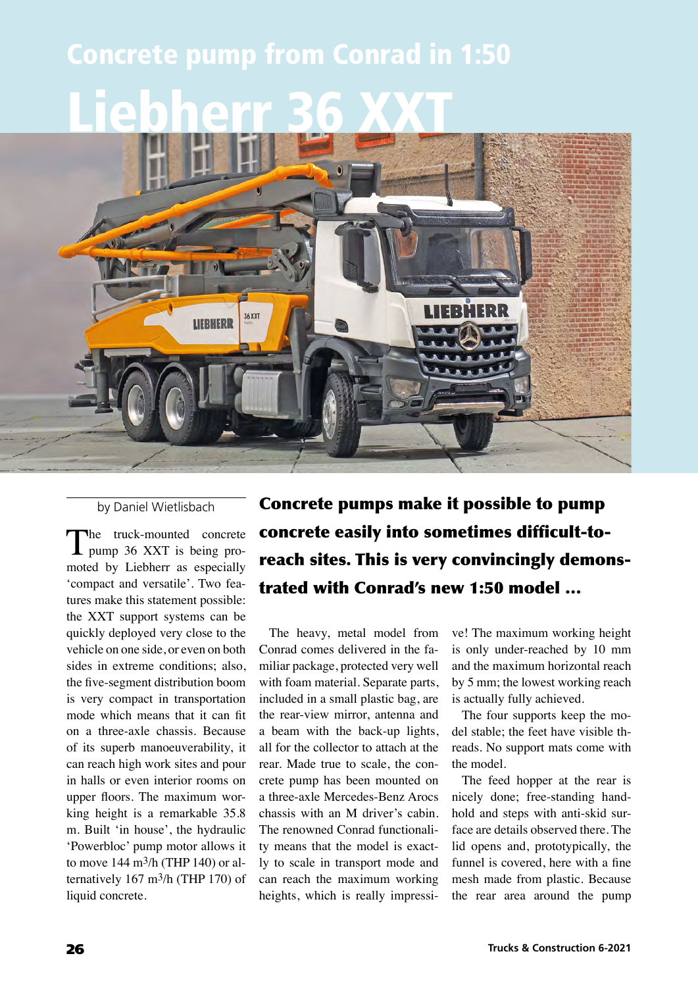## Concrete pump from Conrad in 1:50

## Liebherr 36 XXT



by Daniel Wietlisbach

The truck-mounted concrete pump 36 XXT is being promoted by Liebherr as especially 'compact and versatile'. Two features make this statement possible: the XXT support systems can be quickly deployed very close to the vehicle on one side, or even on both sides in extreme conditions; also, the five-segment distribution boom is very compact in transportation mode which means that it can fit on a three-axle chassis. Because of its superb manoeuverability, it can reach high work sites and pour in halls or even interior rooms on upper floors. The maximum working height is a remarkable 35.8 m. Built 'in house', the hydraulic 'Powerbloc' pump motor allows it to move 144 m3/h (THP 140) or alternatively 167 m3/h (THP 170) of liquid concrete.

Concrete pumps make it possible to pump concrete easily into sometimes difficult-toreach sites. This is very convincingly demonstrated with Conrad's new 1:50 model …

The heavy, metal model from Conrad comes delivered in the familiar package, protected very well with foam material. Separate parts, included in a small plastic bag, are the rear-view mirror, antenna and a beam with the back-up lights, all for the collector to attach at the rear. Made true to scale, the concrete pump has been mounted on a three-axle Mercedes-Benz Arocs chassis with an M driver's cabin. The renowned Conrad functionality means that the model is exactly to scale in transport mode and can reach the maximum working heights, which is really impressive! The maximum working height is only under-reached by 10 mm and the maximum horizontal reach by 5 mm; the lowest working reach is actually fully achieved.

The four supports keep the model stable; the feet have visible threads. No support mats come with the model.

The feed hopper at the rear is nicely done; free-standing handhold and steps with anti-skid surface are details observed there. The lid opens and, prototypically, the funnel is covered, here with a fine mesh made from plastic. Because the rear area around the pump